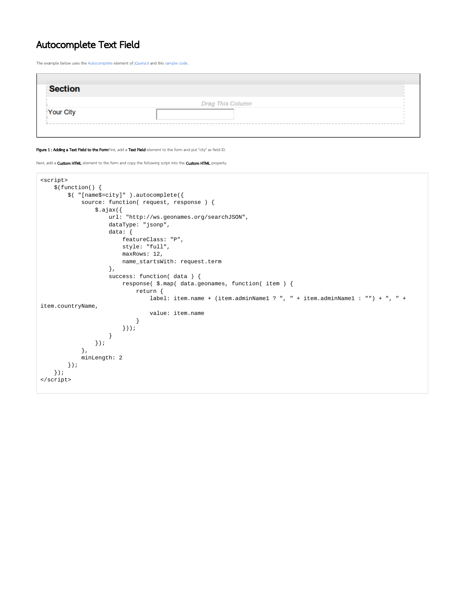## Autocomplete Text Field

The example below uses the [Autocomplete](http://jqueryui.com/autocomplete) element of [jQueryUI](http://jqueryui.com/) and this [sample code](http://jqueryui.com/autocomplete/#remote-jsonp).

| эе        |                  |  |
|-----------|------------------|--|
|           | Drag This Column |  |
| Your City |                  |  |

## Figure 1 : Adding a Text Field to the FormFirst, add a Text Field element to the form and put "city" as field ID.

Next, add a **Custom HTML** element to the form and copy the following script into the Custom HTML property.

```
<script>
    $(function() {
        $( "[name$=city]" ).autocomplete({
            source: function( request, response ) {
                $.ajax({
                    url: "http://ws.geonames.org/searchJSON",
                    dataType: "jsonp",
                    data: {
                       featureClass: "P",
                       style: "full",
                       maxRows: 12,
                       name_startsWith: request.term
                    },
                    success: function( data ) {
                        response( $.map( data.geonames, function( item ) {
                           return {
                               label: item.name + (item.adminName1 ? ", " + item.adminName1 : "") + ", " + 
item.countryName,
                               value: item.name
 }
                       }));
 }
                });
            },
            minLength: 2
        });
    });
</script>
```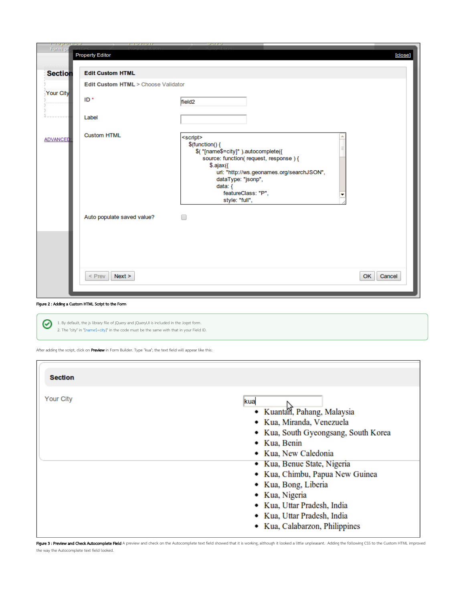| <u>i iahaina:</u><br>Form pr | <b>Property Editor</b>              |                    | [close] |
|------------------------------|-------------------------------------|--------------------|---------|
| <b>Section</b>               | <b>Edit Custom HTML</b>             |                    |         |
|                              | Edit Custom HTML > Choose Validator |                    |         |
| Your City                    | ID*                                 | field <sub>2</sub> |         |
|                              | Label                               |                    |         |
| <b>ADVANCED</b>              | <b>Custom HTML</b>                  | <script></script>  |         |

## Figure 2 : Adding a Custom HTML Script to the Form

1. By default, the js library file of jQuery and jQueryUI is included in the Joget form. 2. The "city" in "[name\$=city]" in the code must be the same with that in your Field ID.

After adding the script, click on Preview in Form Builder. Type "kua"; the text field will appear like this:

| <b>Section</b> |                                                                                                                                                                                                                                                                                                                                                             |
|----------------|-------------------------------------------------------------------------------------------------------------------------------------------------------------------------------------------------------------------------------------------------------------------------------------------------------------------------------------------------------------|
| Your City      | kua<br>· Kuantan, Pahang, Malaysia<br>· Kua, Miranda, Venezuela<br>• Kua, South Gyeongsang, South Korea<br>• Kua, Benin<br>• Kua, New Caledonia<br>• Kua, Benue State, Nigeria<br>• Kua, Chimbu, Papua New Guinea<br>• Kua, Bong, Liberia<br>• Kua, Nigeria<br>• Kua, Uttar Pradesh, India<br>• Kua, Uttar Pradesh, India<br>• Kua, Calabarzon, Philippines |

Figure 3 : Preview and Check Autocomplete Field A preview and check on the Autocomplete text field showed that it is working, although it looked a little unpleasant. Adding the following CSS to the Custom HTML improved the way the Autocomplete text field looked.